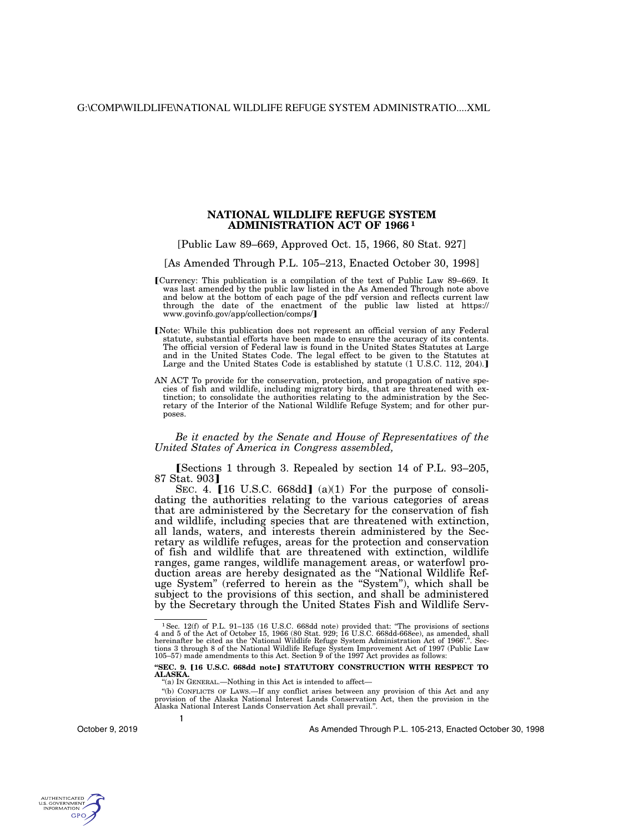# **NATIONAL WILDLIFE REFUGE SYSTEM ADMINISTRATION ACT OF 1966 1**

[Public Law 89–669, Approved Oct. 15, 1966, 80 Stat. 927]

[As Amended Through P.L. 105–213, Enacted October 30, 1998]

- øCurrency: This publication is a compilation of the text of Public Law 89–669. It was last amended by the public law listed in the As Amended Through note above and below at the bottom of each page of the pdf version and reflects current law through the date of the enactment of the public law listed at https:// www.govinfo.gov/app/collection/comps/]
- Note: While this publication does not represent an official version of any Federal statute, substantial efforts have been made to ensure the accuracy of its contents. The official version of Federal law is found in the United States Statutes at Large and in the United States Code. The legal effect to be given to the Statutes at Large and the United States Code is established by statute (1 U.S.C. 112, 204).]
- AN ACT To provide for the conservation, protection, and propagation of native species of fish and wildlife, including migratory birds, that are threatened with ex-tinction; to consolidate the authorities relating to the administration by the Secretary of the Interior of the National Wildlife Refuge System; and for other purposes.

*Be it enacted by the Senate and House of Representatives of the United States of America in Congress assembled,* 

[Sections 1 through 3. Repealed by section 14 of P.L. 93–205, 87 Stat. 903]

SEC. 4.  $[16 \text{ U.S.C. } 668\text{dd}]$  (a)(1) For the purpose of consolidating the authorities relating to the various categories of areas that are administered by the Secretary for the conservation of fish and wildlife, including species that are threatened with extinction, all lands, waters, and interests therein administered by the Secretary as wildlife refuges, areas for the protection and conservation of fish and wildlife that are threatened with extinction, wildlife ranges, game ranges, wildlife management areas, or waterfowl production areas are hereby designated as the ''National Wildlife Refuge System'' (referred to herein as the ''System''), which shall be subject to the provisions of this section, and shall be administered by the Secretary through the United States Fish and Wildlife Serv-

October 9, 2019

**1** 



<sup>&</sup>lt;sup>1</sup>Sec. 12(f) of P.L. 91–135 (16 U.S.C. 668dd note) provided that: "The provisions of sections 4 and 5 of the Act of October 15, 1966 (80 Stat. 929; 16 U.S.C. 668dd-668ee), as amended, shall hereinafter be cited as the 'N

**<sup>&#</sup>x27;'SEC. 9.** ø**16 U.S.C. 668dd note**¿ **STATUTORY CONSTRUCTION WITH RESPECT TO ALASKA.** 

<sup>&#</sup>x27;'(a) IN GENERAL.—Nothing in this Act is intended to affect—

<sup>&#</sup>x27;'(b) CONFLICTS OF LAWS.—If any conflict arises between any provision of this Act and any provision of the Alaska National Interest Lands Conservation Act, then the provision in the Alaska National Interest Lands Conservation Act shall prevail.''.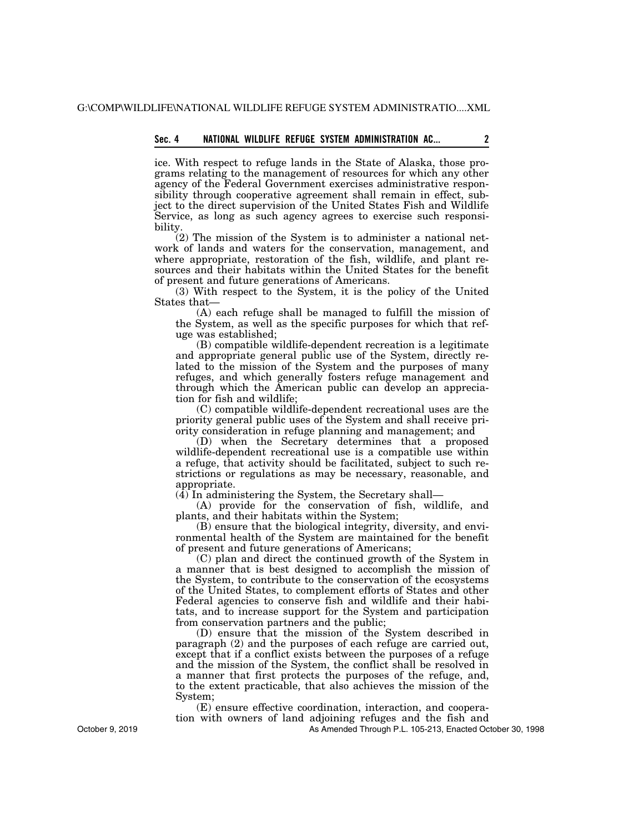ice. With respect to refuge lands in the State of Alaska, those programs relating to the management of resources for which any other agency of the Federal Government exercises administrative responsibility through cooperative agreement shall remain in effect, subject to the direct supervision of the United States Fish and Wildlife Service, as long as such agency agrees to exercise such responsibility.

(2) The mission of the System is to administer a national network of lands and waters for the conservation, management, and where appropriate, restoration of the fish, wildlife, and plant resources and their habitats within the United States for the benefit of present and future generations of Americans.

(3) With respect to the System, it is the policy of the United States that—

(A) each refuge shall be managed to fulfill the mission of the System, as well as the specific purposes for which that refuge was established;

(B) compatible wildlife-dependent recreation is a legitimate and appropriate general public use of the System, directly related to the mission of the System and the purposes of many refuges, and which generally fosters refuge management and through which the American public can develop an appreciation for fish and wildlife;

(C) compatible wildlife-dependent recreational uses are the priority general public uses of the System and shall receive priority consideration in refuge planning and management; and

(D) when the Secretary determines that a proposed wildlife-dependent recreational use is a compatible use within a refuge, that activity should be facilitated, subject to such restrictions or regulations as may be necessary, reasonable, and appropriate.

 $(4)$  In administering the System, the Secretary shall—

(A) provide for the conservation of fish, wildlife, and plants, and their habitats within the System;

(B) ensure that the biological integrity, diversity, and environmental health of the System are maintained for the benefit of present and future generations of Americans;

(C) plan and direct the continued growth of the System in a manner that is best designed to accomplish the mission of the System, to contribute to the conservation of the ecosystems of the United States, to complement efforts of States and other Federal agencies to conserve fish and wildlife and their habitats, and to increase support for the System and participation from conservation partners and the public;

(D) ensure that the mission of the System described in paragraph (2) and the purposes of each refuge are carried out, except that if a conflict exists between the purposes of a refuge and the mission of the System, the conflict shall be resolved in a manner that first protects the purposes of the refuge, and, to the extent practicable, that also achieves the mission of the System;

(E) ensure effective coordination, interaction, and cooperation with owners of land adjoining refuges and the fish and

As Amended Through P.L. 105-213, Enacted October 30, 1998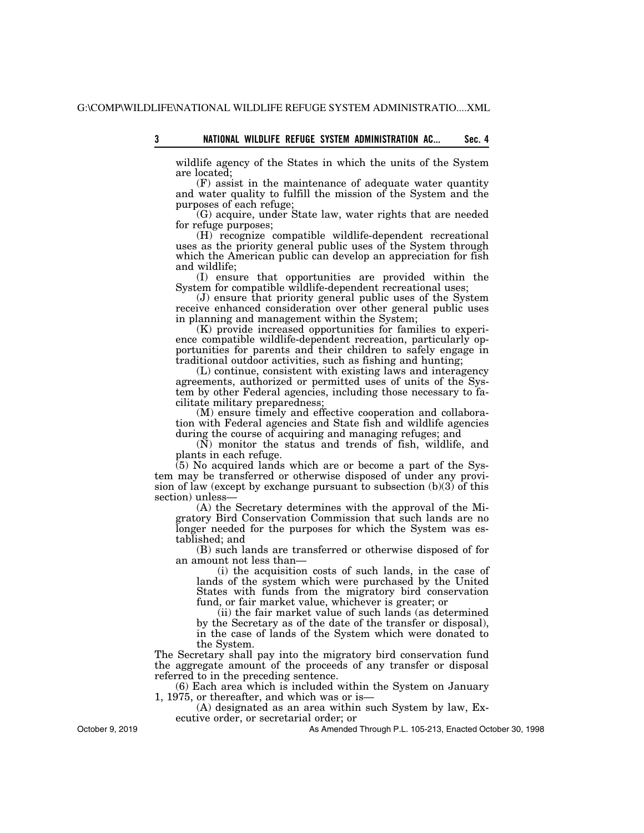| NATIONAL WILDLIFE REFUGE SYSTEM ADMINISTRATION AC |  |  |  |  |  |  |  | Sec. 4 |
|---------------------------------------------------|--|--|--|--|--|--|--|--------|
|---------------------------------------------------|--|--|--|--|--|--|--|--------|

wildlife agency of the States in which the units of the System are located;

(F) assist in the maintenance of adequate water quantity and water quality to fulfill the mission of the System and the purposes of each refuge;

(G) acquire, under State law, water rights that are needed for refuge purposes;

(H) recognize compatible wildlife-dependent recreational uses as the priority general public uses of the System through which the American public can develop an appreciation for fish and wildlife;

(I) ensure that opportunities are provided within the System for compatible wildlife-dependent recreational uses;

(J) ensure that priority general public uses of the System receive enhanced consideration over other general public uses in planning and management within the System;

(K) provide increased opportunities for families to experience compatible wildlife-dependent recreation, particularly opportunities for parents and their children to safely engage in traditional outdoor activities, such as fishing and hunting;

(L) continue, consistent with existing laws and interagency agreements, authorized or permitted uses of units of the System by other Federal agencies, including those necessary to facilitate military preparedness;

(M) ensure timely and effective cooperation and collaboration with Federal agencies and State fish and wildlife agencies during the course of acquiring and managing refuges; and

(N) monitor the status and trends of fish, wildlife, and plants in each refuge.

(5) No acquired lands which are or become a part of the System may be transferred or otherwise disposed of under any provision of law (except by exchange pursuant to subsection  $(b)(3)$  of this section) unless—

(A) the Secretary determines with the approval of the Migratory Bird Conservation Commission that such lands are no longer needed for the purposes for which the System was established; and

(B) such lands are transferred or otherwise disposed of for an amount not less than—

(i) the acquisition costs of such lands, in the case of lands of the system which were purchased by the United States with funds from the migratory bird conservation fund, or fair market value, whichever is greater; or

(ii) the fair market value of such lands (as determined by the Secretary as of the date of the transfer or disposal), in the case of lands of the System which were donated to the System.

The Secretary shall pay into the migratory bird conservation fund the aggregate amount of the proceeds of any transfer or disposal referred to in the preceding sentence.

(6) Each area which is included within the System on January 1, 1975, or thereafter, and which was or is—

(A) designated as an area within such System by law, Executive order, or secretarial order; or

As Amended Through P.L. 105-213, Enacted October 30, 1998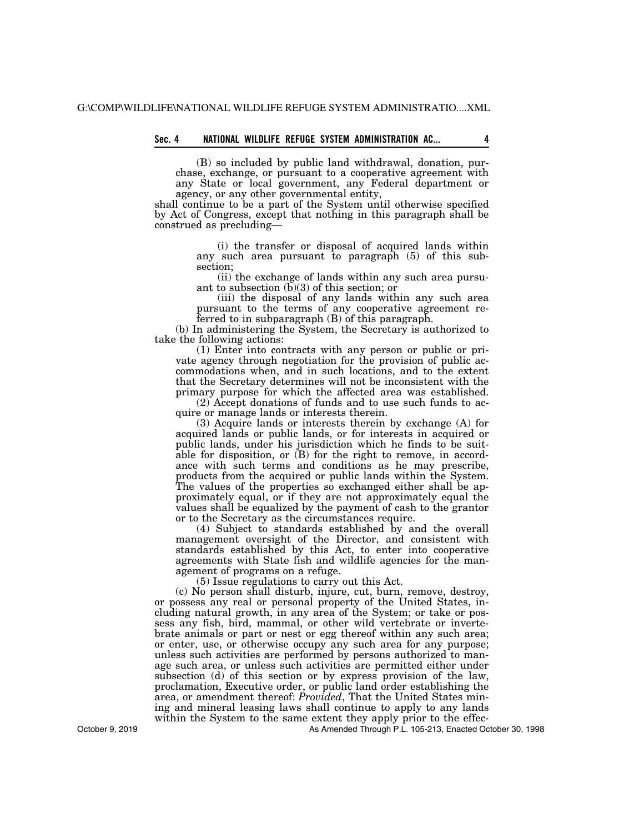(B) so included by public land withdrawal, donation, purchase, exchange, or pursuant to a cooperative agreement with any State or local government, any Federal department or agency, or any other governmental entity,

shall continue to be a part of the System until otherwise specified by Act of Congress, except that nothing in this paragraph shall be construed as precluding—

> (i) the transfer or disposal of acquired lands within any such area pursuant to paragraph (5) of this subsection;

> (ii) the exchange of lands within any such area pursuant to subsection (b)(3) of this section; or

> (iii) the disposal of any lands within any such area pursuant to the terms of any cooperative agreement referred to in subparagraph (B) of this paragraph.

(b) In administering the System, the Secretary is authorized to take the following actions:

(1) Enter into contracts with any person or public or private agency through negotiation for the provision of public accommodations when, and in such locations, and to the extent that the Secretary determines will not be inconsistent with the primary purpose for which the affected area was established.

(2) Accept donations of funds and to use such funds to acquire or manage lands or interests therein.

(3) Acquire lands or interests therein by exchange (A) for acquired lands or public lands, or for interests in acquired or public lands, under his jurisdiction which he finds to be suitable for disposition, or (B) for the right to remove, in accordance with such terms and conditions as he may prescribe, products from the acquired or public lands within the System. The values of the properties so exchanged either shall be approximately equal, or if they are not approximately equal the values shall be equalized by the payment of cash to the grantor or to the Secretary as the circumstances require.

(4) Subject to standards established by and the overall management oversight of the Director, and consistent with standards established by this Act, to enter into cooperative agreements with State fish and wildlife agencies for the management of programs on a refuge.

(5) Issue regulations to carry out this Act.

(c) No person shall disturb, injure, cut, burn, remove, destroy, or possess any real or personal property of the United States, including natural growth, in any area of the System; or take or possess any fish, bird, mammal, or other wild vertebrate or invertebrate animals or part or nest or egg thereof within any such area; or enter, use, or otherwise occupy any such area for any purpose; unless such activities are performed by persons authorized to manage such area, or unless such activities are permitted either under subsection  $(d)$  of this section or by express provision of the law, proclamation, Executive order, or public land order establishing the area, or amendment thereof: *Provided*, That the United States mining and mineral leasing laws shall continue to apply to any lands within the System to the same extent they apply prior to the effec-

As Amended Through P.L. 105-213, Enacted October 30, 1998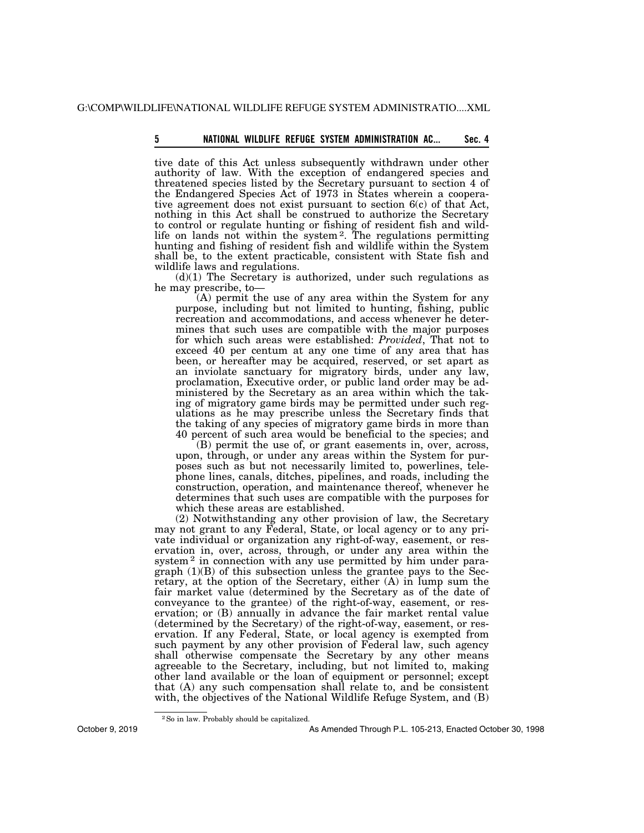tive date of this Act unless subsequently withdrawn under other authority of law. With the exception of endangered species and threatened species listed by the Secretary pursuant to section 4 of the Endangered Species Act of 1973 in States wherein a cooperative agreement does not exist pursuant to section 6(c) of that Act, nothing in this Act shall be construed to authorize the Secretary to control or regulate hunting or fishing of resident fish and wildlife on lands not within the system 2. The regulations permitting hunting and fishing of resident fish and wildlife within the System shall be, to the extent practicable, consistent with State fish and wildlife laws and regulations.

 $(d)(1)$  The Secretary is authorized, under such regulations as he may prescribe, to—

(A) permit the use of any area within the System for any purpose, including but not limited to hunting, fishing, public recreation and accommodations, and access whenever he determines that such uses are compatible with the major purposes for which such areas were established: *Provided*, That not to exceed 40 per centum at any one time of any area that has been, or hereafter may be acquired, reserved, or set apart as an inviolate sanctuary for migratory birds, under any law, proclamation, Executive order, or public land order may be administered by the Secretary as an area within which the taking of migratory game birds may be permitted under such regulations as he may prescribe unless the Secretary finds that the taking of any species of migratory game birds in more than 40 percent of such area would be beneficial to the species; and

(B) permit the use of, or grant easements in, over, across, upon, through, or under any areas within the System for purposes such as but not necessarily limited to, powerlines, telephone lines, canals, ditches, pipelines, and roads, including the construction, operation, and maintenance thereof, whenever he determines that such uses are compatible with the purposes for which these areas are established.

(2) Notwithstanding any other provision of law, the Secretary may not grant to any Federal, State, or local agency or to any private individual or organization any right-of-way, easement, or reservation in, over, across, through, or under any area within the system<sup>2</sup> in connection with any use permitted by him under para $graph (1)(B)$  of this subsection unless the grantee pays to the Secretary, at the option of the Secretary, either (A) in lump sum the fair market value (determined by the Secretary as of the date of conveyance to the grantee) of the right-of-way, easement, or reservation; or (B) annually in advance the fair market rental value (determined by the Secretary) of the right-of-way, easement, or reservation. If any Federal, State, or local agency is exempted from such payment by any other provision of Federal law, such agency shall otherwise compensate the Secretary by any other means agreeable to the Secretary, including, but not limited to, making other land available or the loan of equipment or personnel; except that (A) any such compensation shall relate to, and be consistent with, the objectives of the National Wildlife Refuge System, and (B)

As Amended Through P.L. 105-213, Enacted October 30, 1998

<sup>2</sup>So in law. Probably should be capitalized.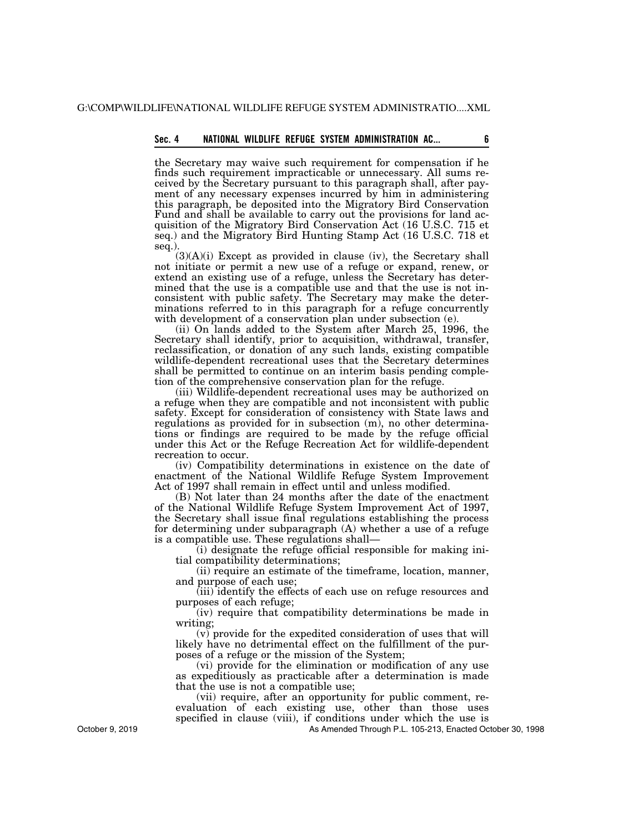the Secretary may waive such requirement for compensation if he finds such requirement impracticable or unnecessary. All sums received by the Secretary pursuant to this paragraph shall, after payment of any necessary expenses incurred by him in administering this paragraph, be deposited into the Migratory Bird Conservation Fund and shall be available to carry out the provisions for land acquisition of the Migratory Bird Conservation Act (16 U.S.C. 715 et seq.) and the Migratory Bird Hunting Stamp Act (16 U.S.C. 718 et seq.).

 $(3)(A)(i)$  Except as provided in clause (iv), the Secretary shall not initiate or permit a new use of a refuge or expand, renew, or extend an existing use of a refuge, unless the Secretary has determined that the use is a compatible use and that the use is not inconsistent with public safety. The Secretary may make the determinations referred to in this paragraph for a refuge concurrently with development of a conservation plan under subsection (e).

(ii) On lands added to the System after March 25, 1996, the Secretary shall identify, prior to acquisition, withdrawal, transfer, reclassification, or donation of any such lands, existing compatible wildlife-dependent recreational uses that the Secretary determines shall be permitted to continue on an interim basis pending completion of the comprehensive conservation plan for the refuge.

(iii) Wildlife-dependent recreational uses may be authorized on a refuge when they are compatible and not inconsistent with public safety. Except for consideration of consistency with State laws and regulations as provided for in subsection (m), no other determinations or findings are required to be made by the refuge official under this Act or the Refuge Recreation Act for wildlife-dependent recreation to occur.

(iv) Compatibility determinations in existence on the date of enactment of the National Wildlife Refuge System Improvement Act of 1997 shall remain in effect until and unless modified.

(B) Not later than 24 months after the date of the enactment of the National Wildlife Refuge System Improvement Act of 1997, the Secretary shall issue final regulations establishing the process for determining under subparagraph (A) whether a use of a refuge is a compatible use. These regulations shall—

(i) designate the refuge official responsible for making initial compatibility determinations;

(ii) require an estimate of the timeframe, location, manner, and purpose of each use;

(iii) identify the effects of each use on refuge resources and purposes of each refuge;

(iv) require that compatibility determinations be made in writing;

 $(v)$  provide for the expedited consideration of uses that will likely have no detrimental effect on the fulfillment of the purposes of a refuge or the mission of the System;

(vi) provide for the elimination or modification of any use as expeditiously as practicable after a determination is made that the use is not a compatible use;

(vii) require, after an opportunity for public comment, reevaluation of each existing use, other than those uses specified in clause (viii), if conditions under which the use is

As Amended Through P.L. 105-213, Enacted October 30, 1998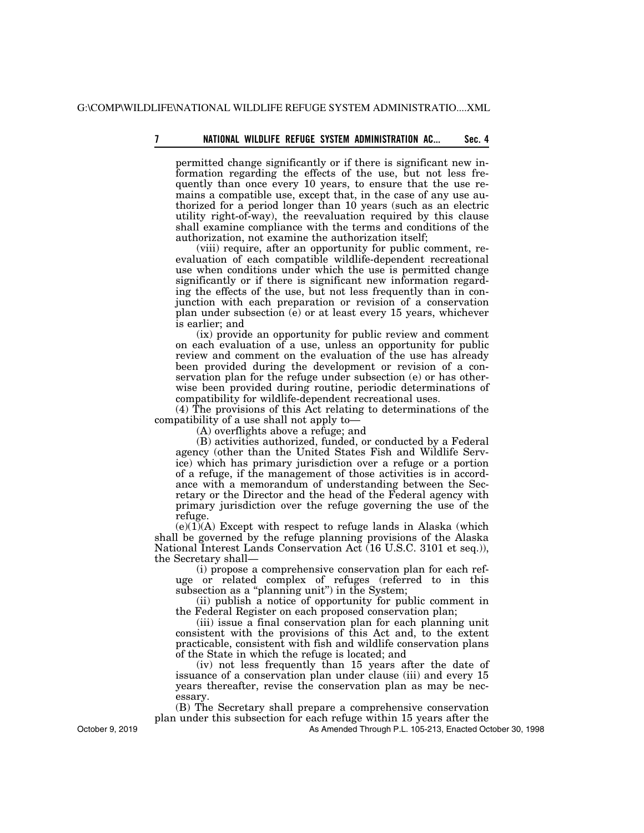permitted change significantly or if there is significant new information regarding the effects of the use, but not less frequently than once every 10 years, to ensure that the use remains a compatible use, except that, in the case of any use authorized for a period longer than 10 years (such as an electric utility right-of-way), the reevaluation required by this clause shall examine compliance with the terms and conditions of the authorization, not examine the authorization itself;

(viii) require, after an opportunity for public comment, reevaluation of each compatible wildlife-dependent recreational use when conditions under which the use is permitted change significantly or if there is significant new information regarding the effects of the use, but not less frequently than in conjunction with each preparation or revision of a conservation plan under subsection (e) or at least every 15 years, whichever is earlier; and

(ix) provide an opportunity for public review and comment on each evaluation of a use, unless an opportunity for public review and comment on the evaluation of the use has already been provided during the development or revision of a conservation plan for the refuge under subsection (e) or has otherwise been provided during routine, periodic determinations of compatibility for wildlife-dependent recreational uses.

(4) The provisions of this Act relating to determinations of the compatibility of a use shall not apply to—

(A) overflights above a refuge; and

(B) activities authorized, funded, or conducted by a Federal agency (other than the United States Fish and Wildlife Service) which has primary jurisdiction over a refuge or a portion of a refuge, if the management of those activities is in accordance with a memorandum of understanding between the Secretary or the Director and the head of the Federal agency with primary jurisdiction over the refuge governing the use of the refuge.

 $(e)(1)(A)$  Except with respect to refuge lands in Alaska (which shall be governed by the refuge planning provisions of the Alaska National Interest Lands Conservation Act (16 U.S.C. 3101 et seq.)), the Secretary shall—

(i) propose a comprehensive conservation plan for each refuge or related complex of refuges (referred to in this subsection as a "planning unit") in the System;

(ii) publish a notice of opportunity for public comment in the Federal Register on each proposed conservation plan;

(iii) issue a final conservation plan for each planning unit consistent with the provisions of this Act and, to the extent practicable, consistent with fish and wildlife conservation plans of the State in which the refuge is located; and

(iv) not less frequently than 15 years after the date of issuance of a conservation plan under clause (iii) and every 15 years thereafter, revise the conservation plan as may be necessary.

(B) The Secretary shall prepare a comprehensive conservation

plan under this subsection for each refuge within 15 years after the

As Amended Through P.L. 105-213, Enacted October 30, 1998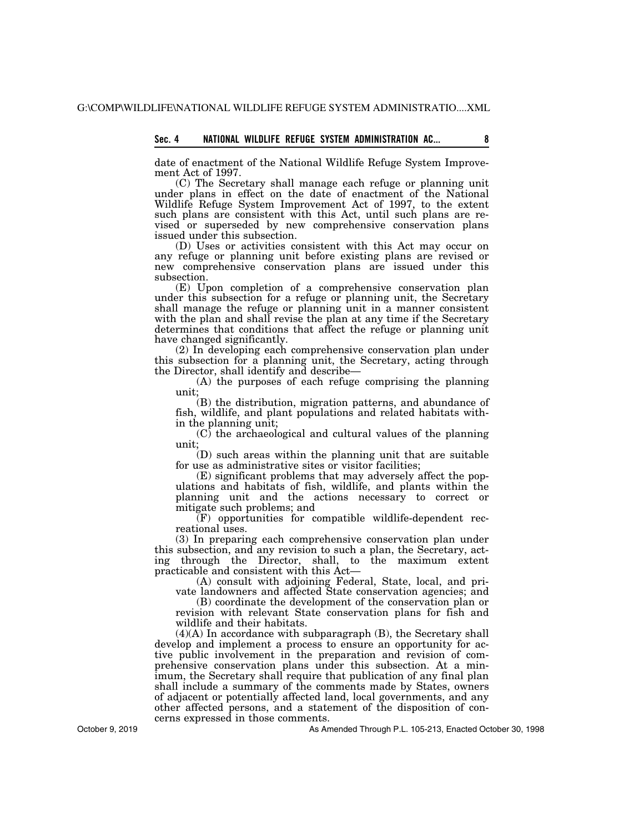date of enactment of the National Wildlife Refuge System Improvement Act of 1997.

(C) The Secretary shall manage each refuge or planning unit under plans in effect on the date of enactment of the National Wildlife Refuge System Improvement Act of 1997, to the extent such plans are consistent with this Act, until such plans are revised or superseded by new comprehensive conservation plans issued under this subsection.

(D) Uses or activities consistent with this Act may occur on any refuge or planning unit before existing plans are revised or new comprehensive conservation plans are issued under this subsection.

(E) Upon completion of a comprehensive conservation plan under this subsection for a refuge or planning unit, the Secretary shall manage the refuge or planning unit in a manner consistent with the plan and shall revise the plan at any time if the Secretary determines that conditions that affect the refuge or planning unit have changed significantly.

(2) In developing each comprehensive conservation plan under this subsection for a planning unit, the Secretary, acting through the Director, shall identify and describe—

(A) the purposes of each refuge comprising the planning unit;

(B) the distribution, migration patterns, and abundance of fish, wildlife, and plant populations and related habitats within the planning unit;

(C) the archaeological and cultural values of the planning unit;

(D) such areas within the planning unit that are suitable for use as administrative sites or visitor facilities;

(E) significant problems that may adversely affect the populations and habitats of fish, wildlife, and plants within the planning unit and the actions necessary to correct or mitigate such problems; and

(F) opportunities for compatible wildlife-dependent recreational uses.

(3) In preparing each comprehensive conservation plan under this subsection, and any revision to such a plan, the Secretary, acting through the Director, shall, to the maximum extent practicable and consistent with this Act—

(A) consult with adjoining Federal, State, local, and pri-

vate landowners and affected State conservation agencies; and (B) coordinate the development of the conservation plan or revision with relevant State conservation plans for fish and

wildlife and their habitats.

(4)(A) In accordance with subparagraph (B), the Secretary shall develop and implement a process to ensure an opportunity for active public involvement in the preparation and revision of comprehensive conservation plans under this subsection. At a minimum, the Secretary shall require that publication of any final plan shall include a summary of the comments made by States, owners of adjacent or potentially affected land, local governments, and any other affected persons, and a statement of the disposition of concerns expressed in those comments.

As Amended Through P.L. 105-213, Enacted October 30, 1998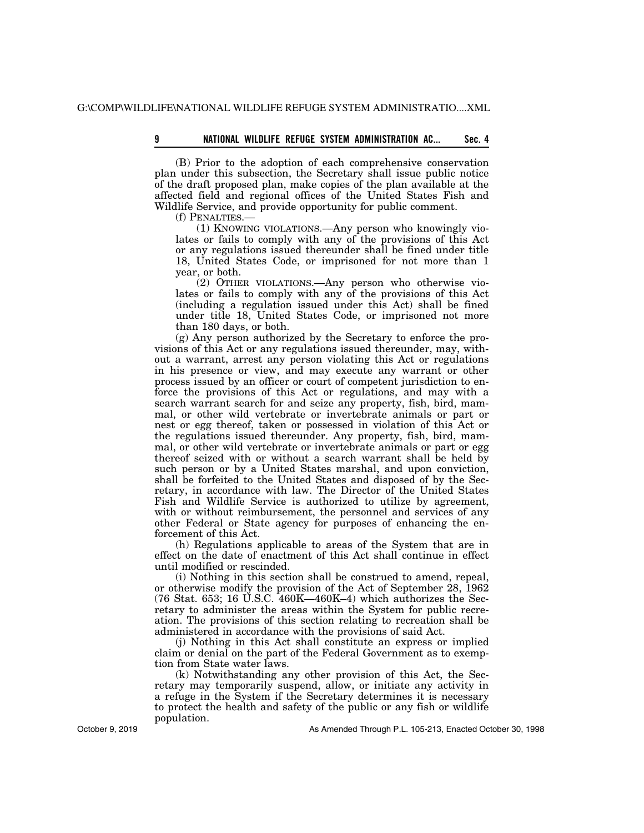(B) Prior to the adoption of each comprehensive conservation plan under this subsection, the Secretary shall issue public notice of the draft proposed plan, make copies of the plan available at the affected field and regional offices of the United States Fish and Wildlife Service, and provide opportunity for public comment.

(f) PENALTIES.—

(1) KNOWING VIOLATIONS.—Any person who knowingly violates or fails to comply with any of the provisions of this Act or any regulations issued thereunder shall be fined under title 18, United States Code, or imprisoned for not more than 1 year, or both.

(2) OTHER VIOLATIONS.—Any person who otherwise violates or fails to comply with any of the provisions of this Act (including a regulation issued under this Act) shall be fined under title 18, United States Code, or imprisoned not more than 180 days, or both.

(g) Any person authorized by the Secretary to enforce the provisions of this Act or any regulations issued thereunder, may, without a warrant, arrest any person violating this Act or regulations in his presence or view, and may execute any warrant or other process issued by an officer or court of competent jurisdiction to enforce the provisions of this Act or regulations, and may with a search warrant search for and seize any property, fish, bird, mammal, or other wild vertebrate or invertebrate animals or part or nest or egg thereof, taken or possessed in violation of this Act or the regulations issued thereunder. Any property, fish, bird, mammal, or other wild vertebrate or invertebrate animals or part or egg thereof seized with or without a search warrant shall be held by such person or by a United States marshal, and upon conviction, shall be forfeited to the United States and disposed of by the Secretary, in accordance with law. The Director of the United States Fish and Wildlife Service is authorized to utilize by agreement, with or without reimbursement, the personnel and services of any other Federal or State agency for purposes of enhancing the enforcement of this Act.

(h) Regulations applicable to areas of the System that are in effect on the date of enactment of this Act shall continue in effect until modified or rescinded.

(i) Nothing in this section shall be construed to amend, repeal, or otherwise modify the provision of the Act of September 28, 1962 (76 Stat. 653; 16 U.S.C. 460K—460K–4) which authorizes the Secretary to administer the areas within the System for public recreation. The provisions of this section relating to recreation shall be administered in accordance with the provisions of said Act.

(j) Nothing in this Act shall constitute an express or implied claim or denial on the part of the Federal Government as to exemption from State water laws.

(k) Notwithstanding any other provision of this Act, the Secretary may temporarily suspend, allow, or initiate any activity in a refuge in the System if the Secretary determines it is necessary to protect the health and safety of the public or any fish or wildlife population.

As Amended Through P.L. 105-213, Enacted October 30, 1998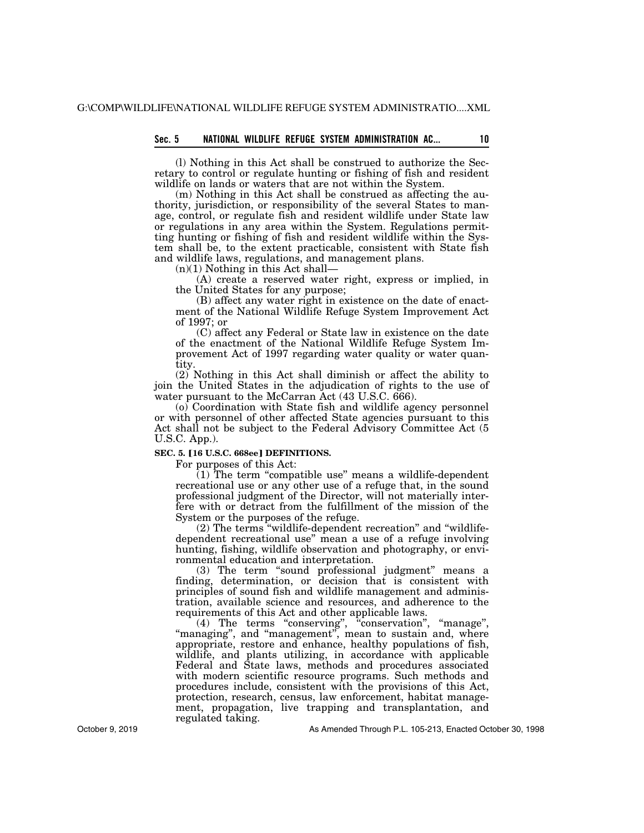(l) Nothing in this Act shall be construed to authorize the Secretary to control or regulate hunting or fishing of fish and resident wildlife on lands or waters that are not within the System.

(m) Nothing in this Act shall be construed as affecting the authority, jurisdiction, or responsibility of the several States to manage, control, or regulate fish and resident wildlife under State law or regulations in any area within the System. Regulations permitting hunting or fishing of fish and resident wildlife within the System shall be, to the extent practicable, consistent with State fish and wildlife laws, regulations, and management plans.

 $(n)(1)$  Nothing in this Act shall-

(A) create a reserved water right, express or implied, in the United States for any purpose;

(B) affect any water right in existence on the date of enactment of the National Wildlife Refuge System Improvement Act of 1997; or

(C) affect any Federal or State law in existence on the date of the enactment of the National Wildlife Refuge System Improvement Act of 1997 regarding water quality or water quantity.

(2) Nothing in this Act shall diminish or affect the ability to join the United States in the adjudication of rights to the use of water pursuant to the McCarran Act (43 U.S.C. 666).

(o) Coordination with State fish and wildlife agency personnel or with personnel of other affected State agencies pursuant to this Act shall not be subject to the Federal Advisory Committee Act (5) U.S.C. App.).

## **SEC. 5. [16 U.S.C. 668ee] DEFINITIONS.**

For purposes of this Act:

 $(1)$  The term "compatible use" means a wildlife-dependent recreational use or any other use of a refuge that, in the sound professional judgment of the Director, will not materially interfere with or detract from the fulfillment of the mission of the System or the purposes of the refuge.

(2) The terms ''wildlife-dependent recreation'' and ''wildlifedependent recreational use'' mean a use of a refuge involving hunting, fishing, wildlife observation and photography, or environmental education and interpretation.

(3) The term "sound professional judgment" means a finding, determination, or decision that is consistent with principles of sound fish and wildlife management and administration, available science and resources, and adherence to the requirements of this Act and other applicable laws.

(4) The terms ''conserving'', ''conservation'', ''manage'', "managing", and "management", mean to sustain and, where appropriate, restore and enhance, healthy populations of fish, wildlife, and plants utilizing, in accordance with applicable Federal and State laws, methods and procedures associated with modern scientific resource programs. Such methods and procedures include, consistent with the provisions of this Act, protection, research, census, law enforcement, habitat management, propagation, live trapping and transplantation, and regulated taking.

As Amended Through P.L. 105-213, Enacted October 30, 1998